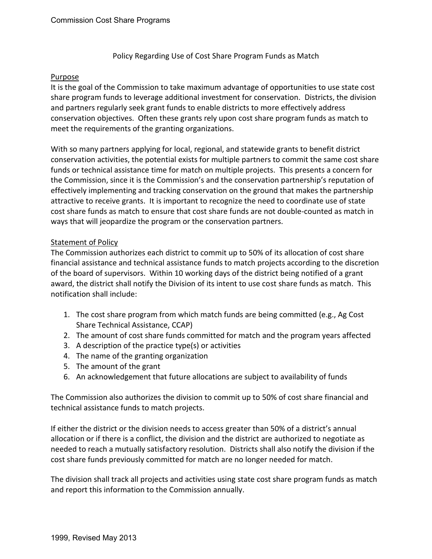## Policy Regarding Use of Cost Share Program Funds as Match

## Purpose

It is the goal of the Commission to take maximum advantage of opportunities to use state cost share program funds to leverage additional investment for conservation. Districts, the division and partners regularly seek grant funds to enable districts to more effectively address conservation objectives. Often these grants rely upon cost share program funds as match to meet the requirements of the granting organizations.

With so many partners applying for local, regional, and statewide grants to benefit district conservation activities, the potential exists for multiple partners to commit the same cost share funds or technical assistance time for match on multiple projects. This presents a concern for the Commission, since it is the Commission's and the conservation partnership's reputation of effectively implementing and tracking conservation on the ground that makes the partnership attractive to receive grants. It is important to recognize the need to coordinate use of state cost share funds as match to ensure that cost share funds are not double-counted as match in ways that will jeopardize the program or the conservation partners.

## Statement of Policy

The Commission authorizes each district to commit up to 50% of its allocation of cost share financial assistance and technical assistance funds to match projects according to the discretion of the board of supervisors. Within 10 working days of the district being notified of a grant award, the district shall notify the Division of its intent to use cost share funds as match. This notification shall include:

- 1. The cost share program from which match funds are being committed (e.g., Ag Cost Share Technical Assistance, CCAP)
- 2. The amount of cost share funds committed for match and the program years affected
- 3. A description of the practice type(s) or activities
- 4. The name of the granting organization
- 5. The amount of the grant
- 6. An acknowledgement that future allocations are subject to availability of funds

The Commission also authorizes the division to commit up to 50% of cost share financial and technical assistance funds to match projects.

If either the district or the division needs to access greater than 50% of a district's annual allocation or if there is a conflict, the division and the district are authorized to negotiate as needed to reach a mutually satisfactory resolution. Districts shall also notify the division if the cost share funds previously committed for match are no longer needed for match.

The division shall track all projects and activities using state cost share program funds as match and report this information to the Commission annually.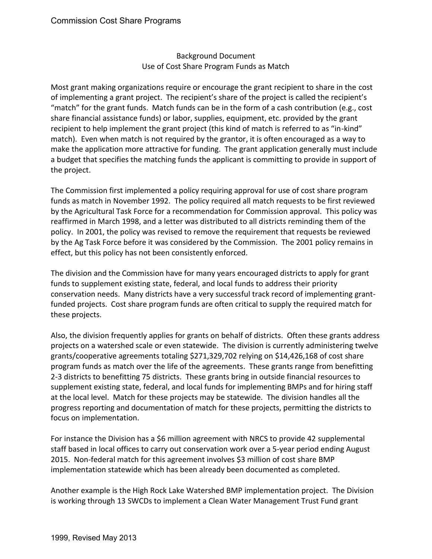## Background Document Use of Cost Share Program Funds as Match

Most grant making organizations require or encourage the grant recipient to share in the cost of implementing a grant project. The recipient's share of the project is called the recipient's "match" for the grant funds. Match funds can be in the form of a cash contribution (e.g., cost share financial assistance funds) or labor, supplies, equipment, etc. provided by the grant recipient to help implement the grant project (this kind of match is referred to as "in-kind" match). Even when match is not required by the grantor, it is often encouraged as a way to make the application more attractive for funding. The grant application generally must include a budget that specifies the matching funds the applicant is committing to provide in support of the project.

The Commission first implemented a policy requiring approval for use of cost share program funds as match in November 1992. The policy required all match requests to be first reviewed by the Agricultural Task Force for a recommendation for Commission approval. This policy was reaffirmed in March 1998, and a letter was distributed to all districts reminding them of the policy. In 2001, the policy was revised to remove the requirement that requests be reviewed by the Ag Task Force before it was considered by the Commission. The 2001 policy remains in effect, but this policy has not been consistently enforced.

The division and the Commission have for many years encouraged districts to apply for grant funds to supplement existing state, federal, and local funds to address their priority conservation needs. Many districts have a very successful track record of implementing grantfunded projects. Cost share program funds are often critical to supply the required match for these projects.

Also, the division frequently applies for grants on behalf of districts. Often these grants address projects on a watershed scale or even statewide. The division is currently administering twelve grants/cooperative agreements totaling \$271,329,702 relying on \$14,426,168 of cost share program funds as match over the life of the agreements. These grants range from benefitting 2-3 districts to benefitting 75 districts. These grants bring in outside financial resources to supplement existing state, federal, and local funds for implementing BMPs and for hiring staff at the local level. Match for these projects may be statewide. The division handles all the progress reporting and documentation of match for these projects, permitting the districts to focus on implementation.

For instance the Division has a \$6 million agreement with NRCS to provide 42 supplemental staff based in local offices to carry out conservation work over a 5-year period ending August 2015. Non-federal match for this agreement involves \$3 million of cost share BMP implementation statewide which has been already been documented as completed.

Another example is the High Rock Lake Watershed BMP implementation project. The Division is working through 13 SWCDs to implement a Clean Water Management Trust Fund grant